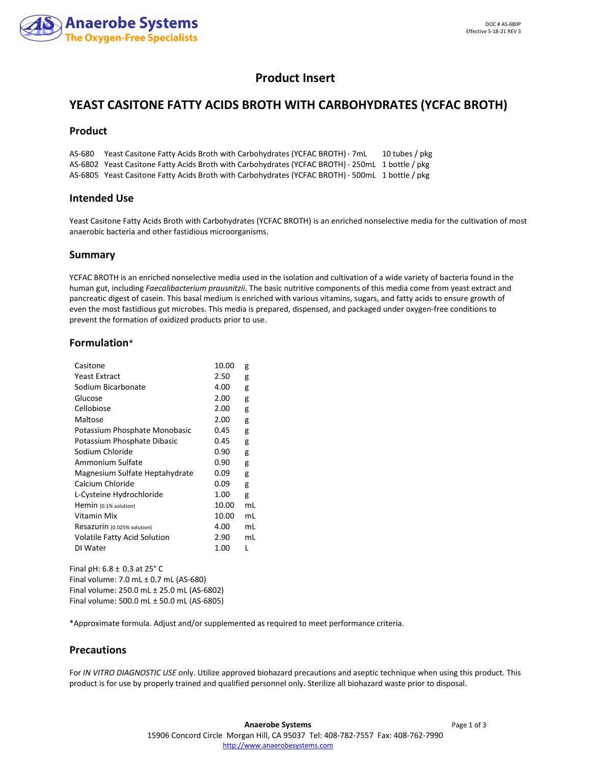

# **Product Insert**

# **YEAST CASITONE FATTY ACIDS BROTH WITH CARBOHYDRATES (YCFAC BROTH)**

### **Product**

AS-680 Yeast Casitone Fatty Acids Broth with Carbohydrates (YCFAC BROTH)- 7mL 10 tubes / pkg AS-6802 Yeast Casitone Fatty Acids Broth with Carbohydrates (YCFAC BROTH)- 250mL 1 bottle / pkg AS-6805 Yeast Casitone Fatty Acids Broth with Carbohydrates (YCFAC BROTH)- 500mL 1 bottle / pkg

### **Intended Use**

Yeast Casitone Fatty Acids Broth with Carbohydrates (YCFAC BROTH) is an enriched nonselective media for the cultivation of most anaerobic bacteria and other fastidious microorganisms.

### **Summary**

YCFAC BROTH is an enriched nonselective media used in the isolation and cultivation of a wide variety of bacteria found in the human gut, including *Faecalibacterium prausnitzii*. The basic nutritive components of this media come from yeast extract and pancreatic digest of casein. This basal medium is enriched with various vitamins, sugars, and fatty acids to ensure growth of even the most fastidious gut microbes. This media is prepared, dispensed, and packaged under oxygen-free conditions to prevent the formation of oxidized products prior to use.

### **Formulation**\*

| Casitone                       | 10.00 | g  |
|--------------------------------|-------|----|
| <b>Yeast Extract</b>           | 2.50  | g  |
| Sodium Bicarbonate             | 4.00  | g  |
| Glucose                        | 2.00  | g  |
| Cellobiose                     | 2.00  | g  |
| Maltose                        | 2.00  | g  |
| Potassium Phosphate Monobasic  | 0.45  | g  |
| Potassium Phosphate Dibasic    | 0.45  | g  |
| Sodium Chloride                | 0.90  | g  |
| Ammonium Sulfate               | 0.90  | g  |
| Magnesium Sulfate Heptahydrate | 0.09  | g  |
| Calcium Chloride               | 0.09  | g  |
| L-Cysteine Hydrochloride       | 1.00  | g  |
| Hemin (0.1% solution)          | 10.00 | mL |
| Vitamin Mix                    | 10.00 | mL |
| Resazurin (0.025% solution)    | 4.00  | mL |
| Volatile Fatty Acid Solution   | 2.90  | mL |
| DI Water                       | 1.00  |    |
|                                |       |    |

Final pH: 6.8 ± 0.3 at 25° C Final volume: 7.0 mL ± 0.7 mL (AS-680) Final volume: 250.0 mL ± 25.0 mL (AS-6802) Final volume: 500.0 mL ± 50.0 mL (AS-6805)

\*Approximate formula. Adjust and/or supplemented as required to meet performance criteria.

### **Precautions**

For *IN VITRO DIAGNOSTIC USE* only. Utilize approved biohazard precautions and aseptic technique when using this product. This product is for use by properly trained and qualified personnel only. Sterilize all biohazard waste prior to disposal.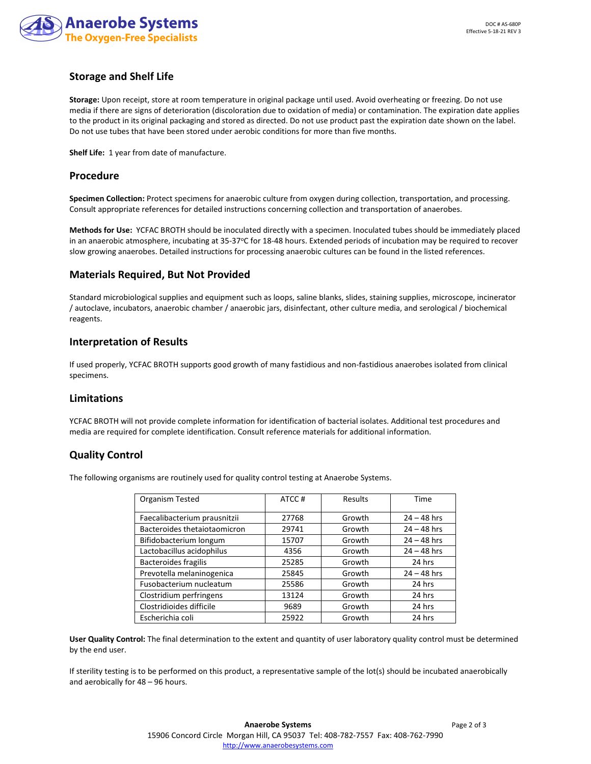

## **Storage and Shelf Life**

**Storage:** Upon receipt, store at room temperature in original package until used. Avoid overheating or freezing. Do not use media if there are signs of deterioration (discoloration due to oxidation of media) or contamination. The expiration date applies to the product in its original packaging and stored as directed. Do not use product past the expiration date shown on the label. Do not use tubes that have been stored under aerobic conditions for more than five months.

**Shelf Life:** 1 year from date of manufacture.

### **Procedure**

**Specimen Collection:** Protect specimens for anaerobic culture from oxygen during collection, transportation, and processing. Consult appropriate references for detailed instructions concerning collection and transportation of anaerobes.

**Methods for Use:** YCFAC BROTH should be inoculated directly with a specimen. Inoculated tubes should be immediately placed in an anaerobic atmosphere, incubating at  $35-37$  °C for 18-48 hours. Extended periods of incubation may be required to recover slow growing anaerobes. Detailed instructions for processing anaerobic cultures can be found in the listed references.

### **Materials Required, But Not Provided**

Standard microbiological supplies and equipment such as loops, saline blanks, slides, staining supplies, microscope, incinerator / autoclave, incubators, anaerobic chamber / anaerobic jars, disinfectant, other culture media, and serological / biochemical reagents.

## **Interpretation of Results**

If used properly, YCFAC BROTH supports good growth of many fastidious and non-fastidious anaerobes isolated from clinical specimens.

### **Limitations**

YCFAC BROTH will not provide complete information for identification of bacterial isolates. Additional test procedures and media are required for complete identification. Consult reference materials for additional information.

## **Quality Control**

The following organisms are routinely used for quality control testing at Anaerobe Systems.

| <b>Organism Tested</b>       | ATCC# | Results | Time          |
|------------------------------|-------|---------|---------------|
| Faecalibacterium prausnitzii | 27768 | Growth  | $24 - 48$ hrs |
| Bacteroides thetaiotaomicron | 29741 | Growth  | $24 - 48$ hrs |
| Bifidobacterium longum       | 15707 | Growth  | $24 - 48$ hrs |
| Lactobacillus acidophilus    | 4356  | Growth  | $24 - 48$ hrs |
| <b>Bacteroides fragilis</b>  | 25285 | Growth  | 24 hrs        |
| Prevotella melaninogenica    | 25845 | Growth  | $24 - 48$ hrs |
| Fusobacterium nucleatum      | 25586 | Growth  | 24 hrs        |
| Clostridium perfringens      | 13124 | Growth  | 24 hrs        |
| Clostridioides difficile     | 9689  | Growth  | 24 hrs        |
| Escherichia coli             | 25922 | Growth  | 24 hrs        |

**User Quality Control:** The final determination to the extent and quantity of user laboratory quality control must be determined by the end user.

If sterility testing is to be performed on this product, a representative sample of the lot(s) should be incubated anaerobically and aerobically for 48 – 96 hours.